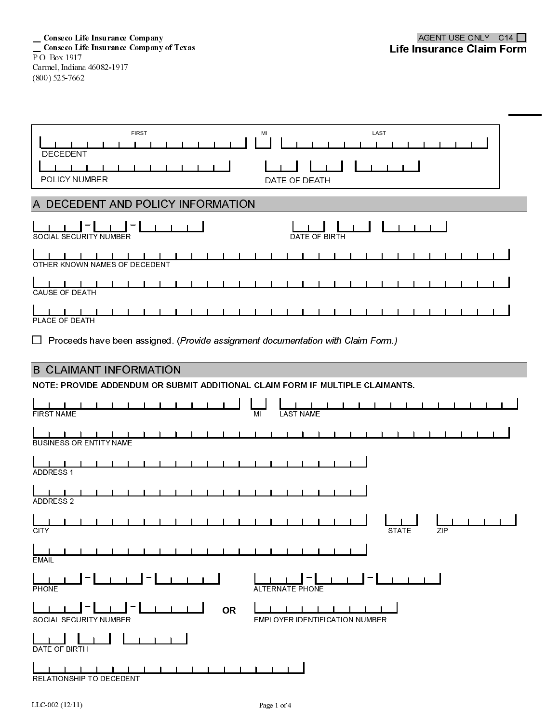| <b>FIRST</b><br>LAST<br>MI<br>DECEDENT<br>POLICY NUMBER<br>DATE OF DEATH                                                                                      |
|---------------------------------------------------------------------------------------------------------------------------------------------------------------|
| A DECEDENT AND POLICY INFORMATION                                                                                                                             |
| SOCIAL SECURITY NUMBER<br>DATE OF BIRTH                                                                                                                       |
| OTHER KNOWN NAMES OF DECEDENT                                                                                                                                 |
| <b>CAUSE OF DEATH</b>                                                                                                                                         |
| PLACE OF DEATH                                                                                                                                                |
| Proceeds have been assigned. (Provide assignment documentation with Claim Form.)                                                                              |
| <b>B CLAIMANT INFORMATION</b><br>NOTE: PROVIDE ADDENDUM OR SUBMIT ADDITIONAL CLAIM FORM IF MULTIPLE CLAIMANTS.<br><b>FIRST NAME</b><br><b>LAST NAME</b><br>MI |
| <b>BUSINESS OR ENTITY NAME</b>                                                                                                                                |
| <b>ADDRESS1</b>                                                                                                                                               |
| ADDRESS 2                                                                                                                                                     |
| <b>CITY</b><br><b>STATE</b><br>ZIP                                                                                                                            |
| <b>EMAIL</b>                                                                                                                                                  |
| <b>PHONE</b><br>ALTERNATE PHONE                                                                                                                               |
| <b>OR</b><br>SOCIAL SECURITY NUMBER<br><b>EMPLOYER IDENTIFICATION NUMBER</b>                                                                                  |
| DATE OF BIRTH                                                                                                                                                 |
| RELATIONSHIP TO DECEDENT                                                                                                                                      |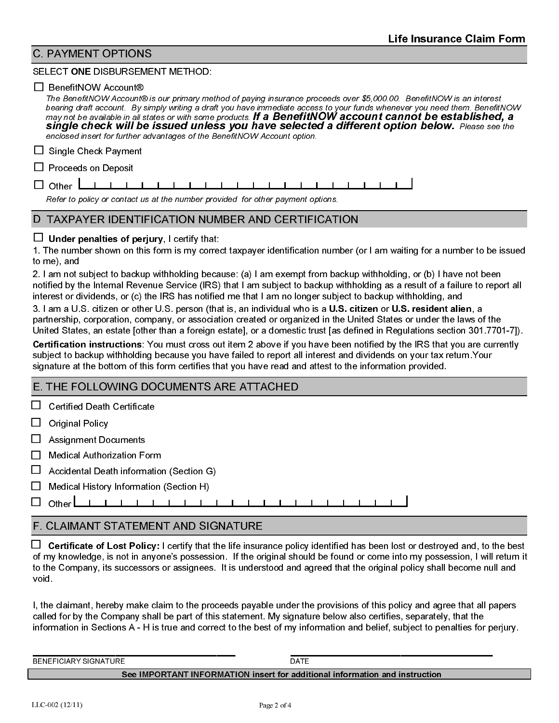#### C. PAYMENT OPTIONS

#### SELECT ONE DISBURSEMENT METHOD:

### □ BenefitNOW Account®

The BenefitNOW Account® is our primary method of paying insurance proceeds over \$5,000.00. BenefitNOW is an interest bearing draft account. By simply writing a draft you have immediate access to your funds whenever you need them. BenefitNOW<br>may not be available in all states or with some products. **If a BenefitNOW account cannot be esta** enclosed insert for further advantages of the BenefitNOW Account option.

### $\Box$  Single Check Payment

- $\Box$  Proceeds on Deposit
- $\Box$  Other  $\boxed{\phantom{a}1\phantom{a}1\phantom{a}1\phantom{a}1\phantom{a}}$

Refer to policy or contact us at the number provided for other payment options.

### . D TAXPAYER IDENTIFICATION NUMBER AND CERTIFICATION

### $\Box$  Under penalties of perjury, I certify that:

1. The number shown on this form is my correct taxpayer identification number (or I am waiting for a number to be issued to me), and

2. I am not subject to backup withholding because: (a) I am exempt from backup withholding, or (b) I have not been notified by the Internal Revenue Service (IRS) that I am subject to backup withholding as a result of a failure to report all interest or dividends, or (c) the IRS has notified me that I am no longer subject to backup withholding, and

3. I am a U.S. citizen or other U.S. person (that is, an individual who is a U.S. citizen or U.S. resident alien, a partnership, corporation, company, or association created or organized in the United States or under the laws of the United States, an estate [other than a foreign estate], or a domestic trust [as defined in Regulations section 301.7701-7]).

Certification instructions: You must cross out item 2 above if you have been notified by the IRS that you are currently subject to backup withholding because you have failed to report all interest and dividends on your tax return.Your signature at the bottom of this form certifies that you have read and attest to the information provided.

#### E. THE FOLLOWING DOCUMENTS ARE ATTACHED

 $\Box$  Certified Death Certificate

 $\Box$  Original Policy

 $\Box$  Assignment Documents

- □ Medical Authorization Form
- $\Box$  Accidental Death information (Section G)
- $\Box$  Medical History Information (Section H)

#### $\square$  Other <u>report to the text of the text of the text of the set of the set of the set of the set of the set of the set of the set of the set of the set of the set of the set of the set of the set of the set of the set of the set of</u>

#### F. CLAIMANT STATEMENT AND SIGNATURE

 $\Box$  Certificate of Lost Policy: I certify that the life insurance policy identified has been lost or destroyed and, to the best of my knowledge, is not in anyone's possession. If the original should be found or come into my possession, I will return it to the Company, its successors or assignees. It is understood and agreed that the original policy shall become null and void.

I, the claimant, hereby make claim to the proceeds payable under the provisions of this policy and agree that all papers called for by the Company shall be part of this statement. My signature below also certifies, separately, that the information in Sections A - H is true and correct to the best of my information and belief, subject to penalties for perjury.

| <b>BENEFICIARY SIGNATURE</b>                                                                      | <b>DATE</b><br>DA. |  |
|---------------------------------------------------------------------------------------------------|--------------------|--|
| $\sqrt{2}$ See IMPORTANT INFORMATION insert for additional information and instruction $\sqrt{2}$ |                    |  |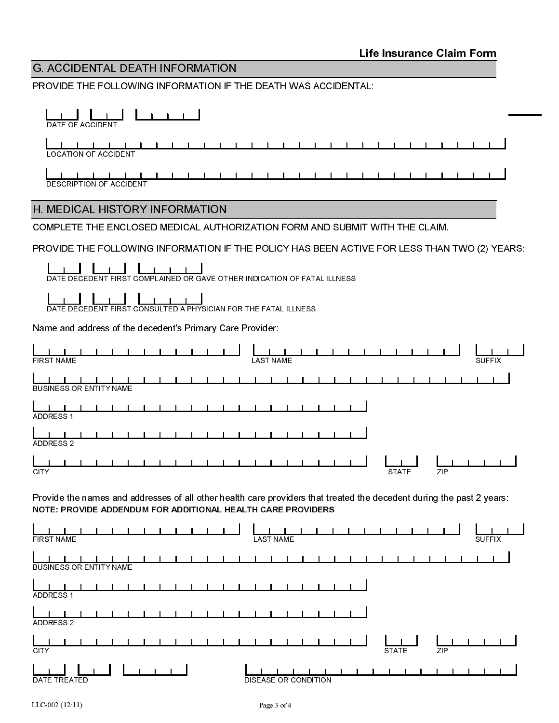| <b>G. ACCIDENTAL DEATH INFORMATION</b>                                                                                                                                               |
|--------------------------------------------------------------------------------------------------------------------------------------------------------------------------------------|
| PROVIDE THE FOLLOWING INFORMATION IF THE DEATH WAS ACCIDENTAL:                                                                                                                       |
| DATE OF ACCIDENT                                                                                                                                                                     |
| <b>LOCATION OF ACCIDENT</b>                                                                                                                                                          |
| <b>DESCRIPTION OF ACCIDENT</b>                                                                                                                                                       |
| H. MEDICAL HISTORY INFORMATION                                                                                                                                                       |
| COMPLETE THE ENCLOSED MEDICAL AUTHORIZATION FORM AND SUBMIT WITH THE CLAIM.                                                                                                          |
| PROVIDE THE FOLLOWING INFORMATION IF THE POLICY HAS BEEN ACTIVE FOR LESS THAN TWO (2) YEARS:                                                                                         |
| DATE DECEDENT FIRST COMPLAINED OR GAVE OTHER INDICATION OF FATAL ILLNESS                                                                                                             |
| DATE DECEDENT FIRST CONSULTED A PHYSICIAN FOR THE FATAL ILLNESS                                                                                                                      |
| Name and address of the decedent's Primary Care Provider:                                                                                                                            |
| <b>LAST NAME</b><br><b>FIRST NAME</b><br><b>SUFFIX</b>                                                                                                                               |
| <b>BUSINESS OR ENTITY NAME</b>                                                                                                                                                       |
| <b>ADDRESS 1</b>                                                                                                                                                                     |
| ADDRESS 2                                                                                                                                                                            |
| CITY<br><b>STATE</b><br>ZIP                                                                                                                                                          |
| Provide the names and addresses of all other health care providers that treated the decedent during the past 2 years:<br>NOTE: PROVIDE ADDENDUM FOR ADDITIONAL HEALTH CARE PROVIDERS |
| <b>FIRST NAME</b><br><b>LAST NAME</b><br><b>SUFFIX</b>                                                                                                                               |
| <b>BUSINESS OR ENTITY NAME</b>                                                                                                                                                       |
| ADDRESS 1                                                                                                                                                                            |
| ADDRESS 2                                                                                                                                                                            |
| <b>STATE</b><br><b>CITY</b><br>ZIP                                                                                                                                                   |
| DISEASE OR CONDITION<br>DATE TREATED                                                                                                                                                 |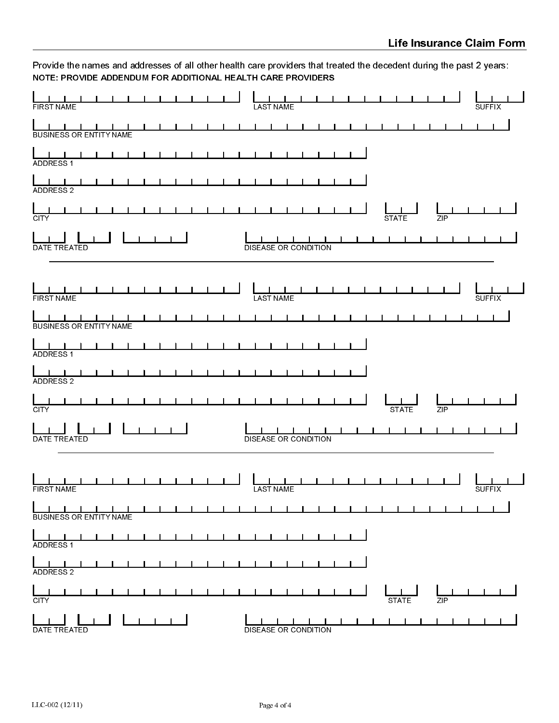Provide the names and addresses of all other health care providers that treated the decedent during the past 2 years: NOTE: PROVIDE ADDENDUM FOR ADDITIONAL HEALTH CARE PROVIDERS

| <b>FIRST NAME</b><br>LAST NAME<br><b>SUFFIX</b>             |
|-------------------------------------------------------------|
| $\sim$ 1.<br><b>BUSINESS OR ENTITY NAME</b>                 |
| ADDRESS 1                                                   |
| $-1$ $-1$<br>ADDRESS <sub>2</sub>                           |
| <b>STATE</b><br><b>CITY</b><br>ZIP                          |
| <b>DISEASE OR CONDITION</b><br>DATE TREATED                 |
| LAST NAME<br><b>SUFFIX</b><br><b>FIRST NAME</b>             |
| <b>BUSINESS OR ENTITY NAME</b>                              |
| $1 - 1$<br>ADDRESS 1                                        |
| ADDRESS 2                                                   |
| ZIP<br><b>CITY</b><br><b>STATE</b>                          |
| <b>DISEASE OR CONDITION</b><br>DATE TREATED                 |
| <b>FIRST NAME</b><br><b>LAST NAME</b><br><b>SUFFIX</b>      |
| <b>BUSINESS OR ENTITY NAME</b>                              |
| ADDRESS 1                                                   |
| ADDRESS <sub>2</sub>                                        |
| <b>STATE</b><br>ZIP<br><b>CITY</b>                          |
| $\mathbf{I}$<br><b>DISEASE OR CONDITION</b><br>DATE TREATED |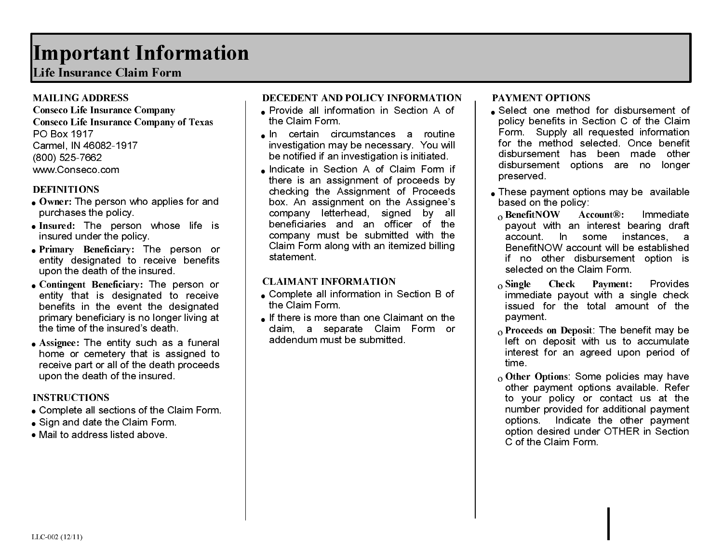## Important Information

### Life Insurance Claim Form

### MAILING ADDRESS

Conseco Life Insurance Company Conseco Life Insurance Company of Texas PO Box 1917 Carmel, IN 46082-1917 (800) 525-7662 www.Conseco.com

### **DEFINITIONS**

- Owner: The person who applies for and purchases the policy.
- Insured: The person whose life is insured under the policy.
- Primary Beneficiary: The person or entity designated to receive benefits upon the death of the insured. · Contingent Beneficiary: The person or
- entity that is designated to receive benefits in the event the designated primary beneficiary is no longer living at the time of the insured's death
- Assignee: The entity such as a funeral home or cemetery that is assigned to receive part or all of the death proceeds upon the death of the insured.

### **INSTRUCTIONS**

- Complete all sections of the Claim Form.<br>• Sign and date the Claim Form.<br>• Mail to address listed above.
- 
- 

### DECEDENT AND POLICY INFORMATION

- · Provide all information in Section A of
- . In certain circumstances a routine investigation may be necessary. You will be notified if an investigation is initiated.
- · Indicate in Section A of Claim Form if there is an assignment of proceeds by checking the Assignment of Proceeds box. An assignment on the Assignee's company letterhead, signed by all beneficiaries and an officer of the company must be submitted with the Claim Form along with an itemized billing statement.

### CLAIMANT INFORMATION

- Complete all information in Section B of the Claim Form.
- **If there is more than one Claimant on the** claim, a separate Claim Form or addendum must be submitted.

#### PAYMENT OPTIONS

- · Select one method for disbursement of policy benefits in Section C of the Claim Form. Supply all requested information for the method selected. Once benefit disbursement has been made other disbursement options are no longer preserved.
- · These payment options may be available based on the policy:
- $\Omega$  BenefitNOW Account®: Immediate payout with an interest bearing draft account. In some instances, a BenefitNOW account will be established if no other disbursement option is selected on the Claim Form.
- $\Omega$  Single Check Payment: Provides immediate payout with a single check issued for the total amount of the payment.
- $\alpha$  Proceeds on Deposit: The benefit may be left on deposit with us to accumulate interest for an agreed upon period of time.
- $\alpha$  Other Options: Some policies may have other payment options available. Refer to your policy or contact us at the number provided for additional payment options. Indicate the other payment option desired under OTHER in Section C of the Claim Form.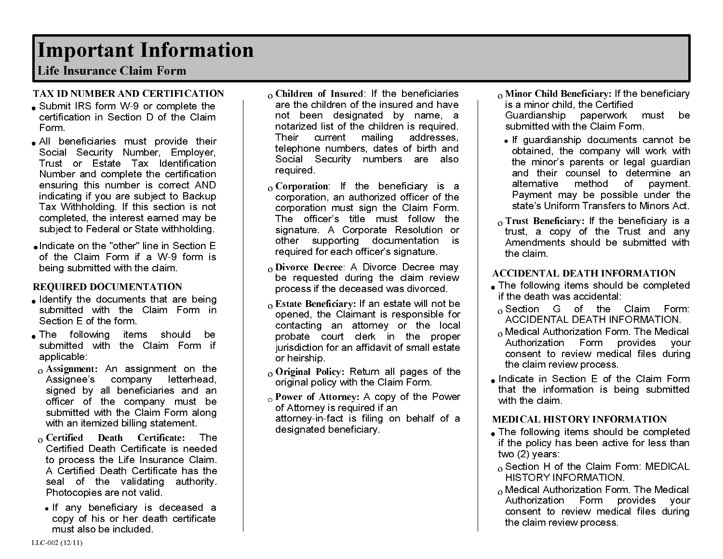# Important Information

### Life Insurance Claim Form

### TAX ID NUMBER AND CERTIFICATION

- · Submit IRS form W-9 or complete the certification in Section D of the Claim Form.
- · All beneficiaries must provide their Social Security Number, Employer, Trust or Estate Tax Identification Number and complete the certification ensuring this number is correct AND indicating if you are subject to Backup Tax Withholding. If this section is not completed, the interest earned may be subject to Federal or State withholding.
- · Indicate on the "other" line in Section E of the Claim Form if a W-9 form is being submitted with the claim.

### REQUIRED DOCUMENTATION

- · Identify the documents that are being submitted with the Claim Form in Section E of the form.
- The following items should be submitted with the Claim Form if applicable:
- $_{\Omega}$  Assignment: An assignment on the Assignee's company letterhead, signed by all beneficiaries and an officer of the company must be submitted with the Claim Form along with an itemized billing statement.
- $\Omega$  Certified Death Certificate: The Certified Death Certificate is needed to process the Life Insurance Claim. A Certified Death Certificate has the seal of the validating authority. Photocopies are not valid.
- **If any beneficiary is deceased a** copy of his or her death certificate must also be included.
- o Children of Insured: If the beneficiaries are the children of the insured and have not been designated by name, a notarized list of the children is required. Their current mailing addresses, telephone numbers, dates of birth and Social Security numbers are also required.
- $\Omega$  Corporation: If the beneficiary is a corporation, an authorized officer of the corporation must sign the Claim Form. The officers title must follow the signature. A Corporate Resolution or other supporting documentation is required for each officer's signature.
- o Divorce Decree: A Divorce Decree may be requested during the claim review process if the deceased was divorced.
- o Estate Beneficiary: If an estate will not be opened, the Claimant is responsible for contacting an attorney or the local probate court clerk in the proper jurisdiction for an affidavit of small estate or heirship.
- $\Omega$  Original Policy: Return all pages of the original policy with the Claim Form.
- $\circ$  Power of Attorney: A copy of the Power of Attorney is required if an attorney-in-fact is filing on behalf of a designated beneficiary.
- o Minor Child Beneficiary: If the beneficiary is a minor child, the Certified Guardianship paperwork must be submitted with the Claim Form.
- § If guardianship documents cannot be obtained, the company will work with the minor's parents or legal guardian and their counsel to determine an alternative method of payment. Payment may be possible under the state's Uniform Transfers to Minors Act.
- $_{\Omega}$  Trust Beneficiary: If the beneficiary is a trust, a copy of the Trust and any Amendments should be submitted with the claim.

### ACCIDENTAL DEATH INFORMATION

- · The following items should be completed if the death was accidental:
- $\sim$  Section G of the Claim Form: ACCIDENTAL DEATH INFORMATION.
- $_{\Omega}$  Medical Authorization Form. The Medical Authorization Form provides your consent to review medical files during the claim review process.
- · Indicate in Section E of the Claim Form that the information is being submitted with the claim.

### MEDICAL HISTORY INFORMATION

- · The following items should be completed if the policy has been active for less than two (2) years:
- $_{\Omega}$  Section H of the Claim Form: MEDICAL HISTORY INFORMATION.
- $_{\odot}$  Medical Authorization Form. The Medical Authorization Form provides your consent to review medical files during the claim review process.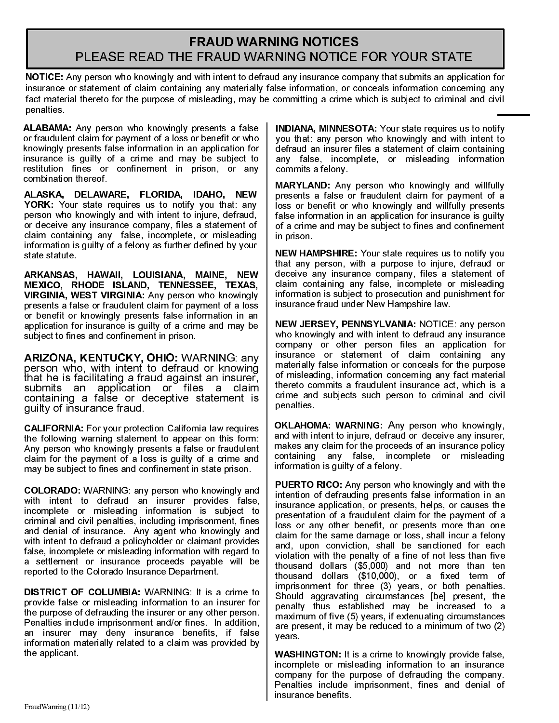### PLEASE READ THE FRAUD WARNING NOTICE FOR YOUR STATE FRAUD WARNING NOTICES

NOTICE: Any person who knowingly and with intent to defraud any insurance company that submits an application for insurance or statement of claim containing any materially false information, or conceals information concerning any fact material thereto for the purpose of misleading, may be committing a crime which is subject to criminal and civil penalties.

ALABAMA: Any person who knowingly presents a false or fraudulent claim for payment of a loss or benefit or who knowingly presents false information in an application for insurance is guilty of a crime and may be subject to restitution fines or confinement in prison, or any combination thereof.

ALASKA, DELAWARE, FLORIDA, IDAHO, NEW YORK: Your state requires us to notify you that: any person who knowingly and with intent to injure, defraud, or deceive any insurance company, files a statement of claim containing any false, incomplete, or misleading information is guilty of a felony as further defined by your state statute.

ARKANSAS, HAWAII, LOUISIANA, MAINE, NEW MEXICO, RHODE ISLAND, TENNESSEE, TEXAS, VIRGINIA, WEST VIRGINIA: Any person who knowingly presents a false or fraudulent claim for payment of a loss or benefit or knowingly presents false information in an application for insurance is guilty of a crime and may be subject to fines and confinement in prison.

ARIZONA, KENTUCKY, OHIO: WARNING: any person who, with intent to defraud or knowing that he is facilitating a fraud against an insurer, submits an application or files a claim containing a false or deceptive statement is guilty of insurance fraud.

CALIFORNIA: For your protection California law requires the following warning statement to appear on this form: Any person who knowingly presents a false or fraudulent claim for the payment of a loss is guilty of a crime and may be subject to fines and confinement in state prison.

COLORADO: WARNING: any person who knowingly and with intent to defraud an insurer provides false, incomplete or misleading information is subject to criminal and civil penalties, including imprisonment, fines and denial of insurance. Any agent who knowingly and with intent to defraud a policyholder or claimant provides false, incomplete or misleading information with regard to a settlement or insurance proceeds payable will be reported to the Colorado Insurance Department.

DISTRICT OF COLUMBIA: WARNING: It is a crime to provide false or misleading information to an insurer for the purpose of defrauding the insurer or any other person. Penalties include imprisonment and/or fines. In addition, an insurer may deny insurance benefits, if false information materially related to a claim was provided by the applicant.

INDIANA, MINNESOTA: Your state requires us to notify you that: any person who knowingly and with intent to defraud an insurer files a statement of claim containing any false, incomplete, or misleading information commits a felony.

MARYLAND: Any person who knowingly and willfully presents a false or fraudulent claim for payment of a loss or benefit or who knowingly and willfully presents false information in an application for insurance is guilty of a crime and may be subject to fines and confinement in prison.

NEW HAMPSHIRE: Your state requires us to notify you that any person, with a purpose to injure, defraud or deceive any insurance company, files a statement of claim containing any false, incomplete or misleading information is subject to prosecution and punishment for insurance fraud under New Hampshire law.

NEW JERSEY, PENNSYLVANIA: NOTICE: any person who knowingly and with intent to defraud any insurance company or other person files an application for insurance or statement of claim containing any materially false information or conceals for the purpose of misleading, information concerning any fact material thereto commits a fraudulent insurance act, which is a crime and subjects such person to criminal and civil penalties.

OKLAHOMA: WARNING: Any person who knowingly, and with intent to injure, defraud or deceive any insurer, makes any claim for the proceeds of an insurance policy containing any false, incomplete or misleading information is guilty of a felony.

PUERTO RICO: Any person who knowingly and with the intention of defrauding presents false information in an insurance application, or presents, helps, or causes the presentation of a fraudulent claim for the payment of a loss or any other benefit, or presents more than one claim for the same damage or loss, shall incur a felony and, upon conviction, shall be sanctioned for each violation with the penalty of a fine of not less than five thousand dollars (\$5,000) and not more than ten thousand dollars (\$10,000), or a fixed term of imprisonment for three (3) years, or both penalties. Should aggravating circumstances [be] present, the penalty thus established may be increased to a maximum of five (5) years, if extenuating circumstances are present, it may be reduced to a minimum of two (2) years.

WASHINGTON: It is a crime to knowingly provide false, incomplete or misleading information to an insurance company for the purpose of defrauding the company. Penalties include imprisonment, fines and denial of insurance benefits.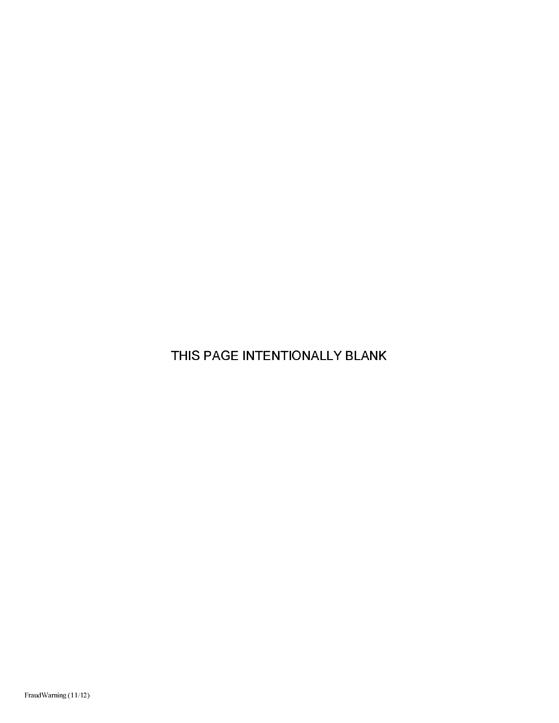THIS PAGE INTENTIONALLY BLANK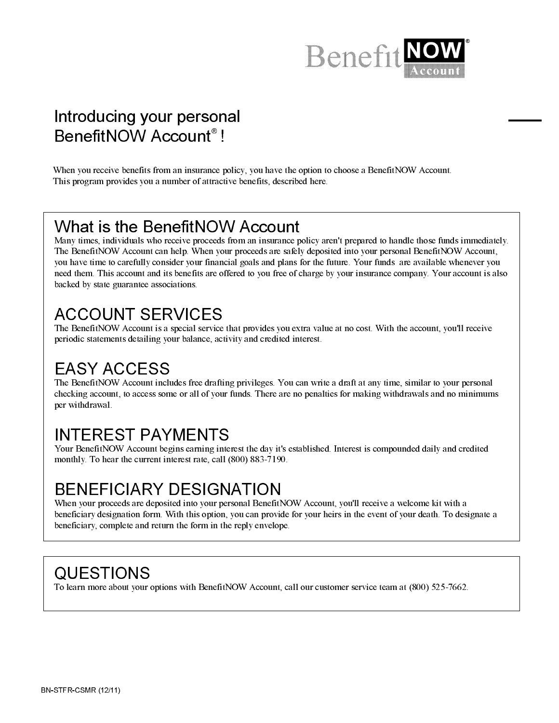

## Introducing your personal BenefitNOW Account<sup>®</sup> !

When you receive benefits from an insurance policy, you have the option to choose a BenefitNOW Account. This program provides you a number of attractive benefits, described here.

## What is the BenefitNOW Account

Many times, individuals who receive proceeds from an insurance policy aren't prepared to handle those funds immediately. The BenefitNOW Account can help. When your proceeds are safely deposited into your personal BenefitNOW Account, you have time to carefully consider your financial goals and plans for the future. Your funds are available whenever you need them. This account and its benefits are offered to you free of charge by your insurance company. Your account is also backed by state guarantee associations.

## ACCOUNT SERVICES

The BenefitNOW Account is a special service that provides you extra value at no cost. With the account, you'll receive periodic statements detailing your balance, activity and credited interest.

## EASY ACCESS

The BenefitNOW Account includes free drafting privileges. You can write a draft at any time, similar to your personal checking account, to access some or all of your funds. There are no penalties for making withdrawals and no minimums per withdrawal.

## INTEREST PAYMENTS

Your BenefitNOW Account begins earning interest the day it's established. Interest is compounded daily and credited monthly. To hear the current interest rate, call (800) 883-7190.

## BENEFICIARY DESIGNATION

When your proceeds are deposited into your personal BenefitNOW Account, you'll receive a welcome kit with a beneficiary designation form. With this option, you can provide for your heirs in the event of your death. To designate a beneficiary, complete and return the form in the reply envelope.

## QUESTIONS

To learn more about your options with BenefitNOW Account, call our customer service team at (800) 525-7662.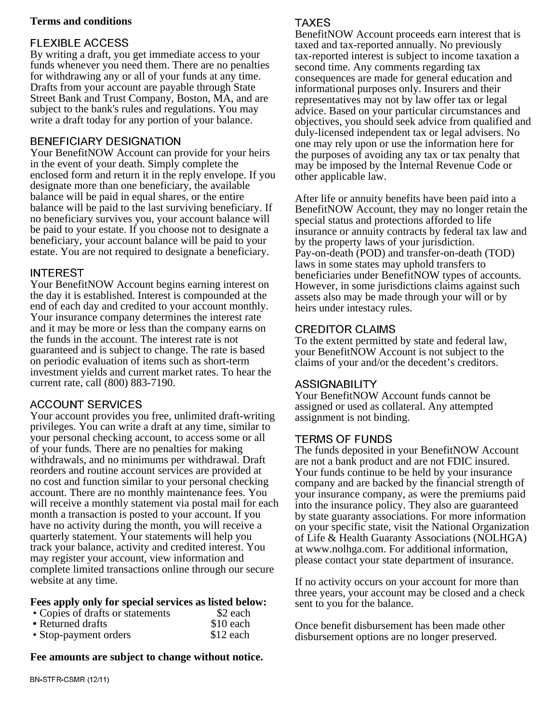### **Terms and conditions**

### FLEXIBLE ACCESS

By writing a draft, you get immediate access to your funds whenever you need them. There are no penalties for withdrawing any or all of your funds at any time. Drafts from your account are payable through State Street Bank and Trust Company, Boston, MA, and are subject to the bank's rules and regulations. You may write a draft today for any portion of your balance.

### BENEFICIARY DESIGNATION

Your BenefitNOW Account can provide for your heirs in the event of your death. Simply complete the enclosed form and return it in the reply envelope. If you designate more than one beneficiary, the available balance will be paid in equal shares, or the entire balance will be paid to the last surviving beneficiary. If no beneficiary survives you, your account balance will be paid to your estate. If you choose not to designate a beneficiary, your account balance will be paid to your estate. You are not required to designate a beneficiary.

### INTEREST

Your BenefitNOW Account begins earning interest on the day it is established. Interest is compounded at the end of each day and credited to your account monthly. Your insurance company determines the interest rate and it may be more or less than the company earns on the funds in the account. The interest rate is not guaranteed and is subject to change. The rate is based on periodic evaluation of items such as short-term investment yields and current market rates. To hear the current rate, call (800) 883-7190.

### ACCOUNT SERVICES

Your account provides you free, unlimited draft-writing privileges. You can write a draft at any time, similar to your personal checking account, to access some or all of your funds. There are no penalties for making withdrawals, and no minimums per withdrawal. Draft reorders and routine account services are provided at no cost and function similar to your personal checking account. There are no monthly maintenance fees. You will receive a monthly statement via postal mail for each month a transaction is posted to your account. If you have no activity during the month, you will receive a quarterly statement. Your statements will help you track your balance, activity and credited interest. You may register your account, view information and complete limited transactions online through our secure website at any time.

#### **Fees apply only for special services as listed below:**

| • Copies of drafts or statements | \$2 each  |      |
|----------------------------------|-----------|------|
| • Returned drafts                | \$10 each | Onc  |
| • Stop-payment orders            | \$12 each | disb |

#### **Fee amounts are subject to change without notice.**

BenefitNOW Account proceeds earn interest that is taxed and tax-reported annually. No previously tax-reported interest is subject to income taxation a second time. Any comments regarding tax consequences are made for general education and informational purposes only. Insurers and their representatives may not by law offer tax or legal advice. Based on your particular circumstances and objectives, you should seek advice from qualified and duly-licensed independent tax or legal advisers. No one may rely upon or use the information here for the purposes of avoiding any tax or tax penalty that may be imposed by the Internal Revenue Code or other applicable law.

After life or annuity benefits have been paid into a BenefitNOW Account, they may no longer retain the special status and protections afforded to life insurance or annuity contracts by federal tax law and by the property laws of your jurisdiction. Pay-on-death (POD) and transfer-on-death (TOD) laws in some states may uphold transfers to beneficiaries under BenefitNOW types of accounts. However, in some jurisdictions claims against such assets also may be made through your will or by heirs under intestacy rules.

### CREDITOR CLAIMS

To the extent permitted by state and federal law, your BenefitNOW Account is not subject to the claims of your and/or the decedent's creditors.

#### **ASSIGNABILITY**

Your BenefitNOW Account funds cannot be assigned or used as collateral. Any attempted assignment is not binding.

### TERMS OF FUNDS

The funds deposited in your BenefitNOW Account are not a bank product and are not FDIC insured. Your funds continue to be held by your insurance company and are backed by the financial strength of your insurance company, as were the premiums paid into the insurance policy. They also are guaranteed by state guaranty associations. For more information on your specific state, visit the National Organization of Life & Health Guaranty Associations (NOLHGA) at www.nolhga.com. For additional information, please contact your state department of insurance.

If no activity occurs on your account for more than three years, your account may be closed and a check sent to you for the balance.

Once benefit disbursement has been made other disbursement options are no longer preserved.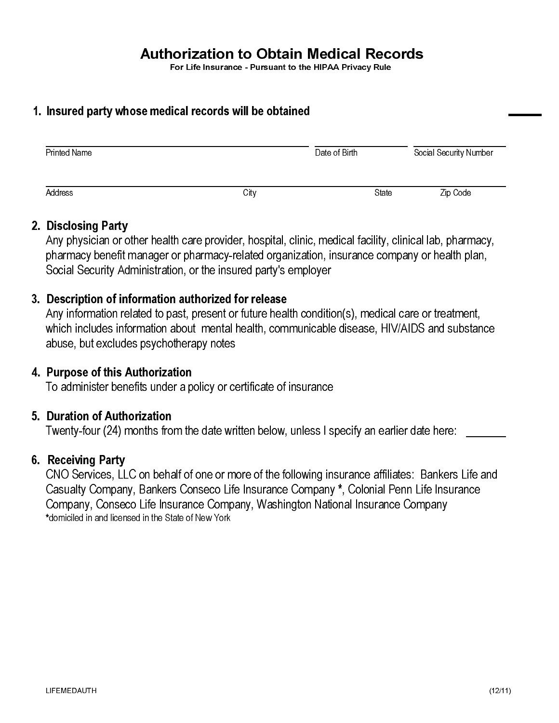For Life Insurance - Pursuant to the HIPAA Privacy Rule

## 1. Insured party whose medical records will be obtained

| Printed Name |      | Date of Birth | Social Security Number |
|--------------|------|---------------|------------------------|
| Address      | City | State         | Zip Code               |

### 2. Disclosing Party

Any physician or other health care provider, hospital, clinic, medical facility, clinical lab, pharmacy, pharmacy benefit manager or pharmacy-related organization, insurance company or health plan, Social Security Administration, or the insured party's employer

### 3. Description of information authorized for release

Any information related to past, present or future health condition(s), medical care or treatment, which includes information about mental health, communicable disease, HIV/AIDS and substance abuse, but excludes psychotherapy notes

### 4. Purpose of this Authorization

To administer benefits under a policy or certificate of insurance

### 5. Duration of Authorization

Twenty-four (24) months from the date written below, unless I specify an earlier date here:

## 6. Receiving Party

CNO Services, LLC on behalf of one or more of the following insurance affiliates: Bankers Life and Casualty Company, Bankers Conseco Life Insurance Company \*, Colonial Penn Life Insurance Company, Conseco Life Insurance Company, Washington National Insurance Company \*domiciled in and licensed in the State of New York